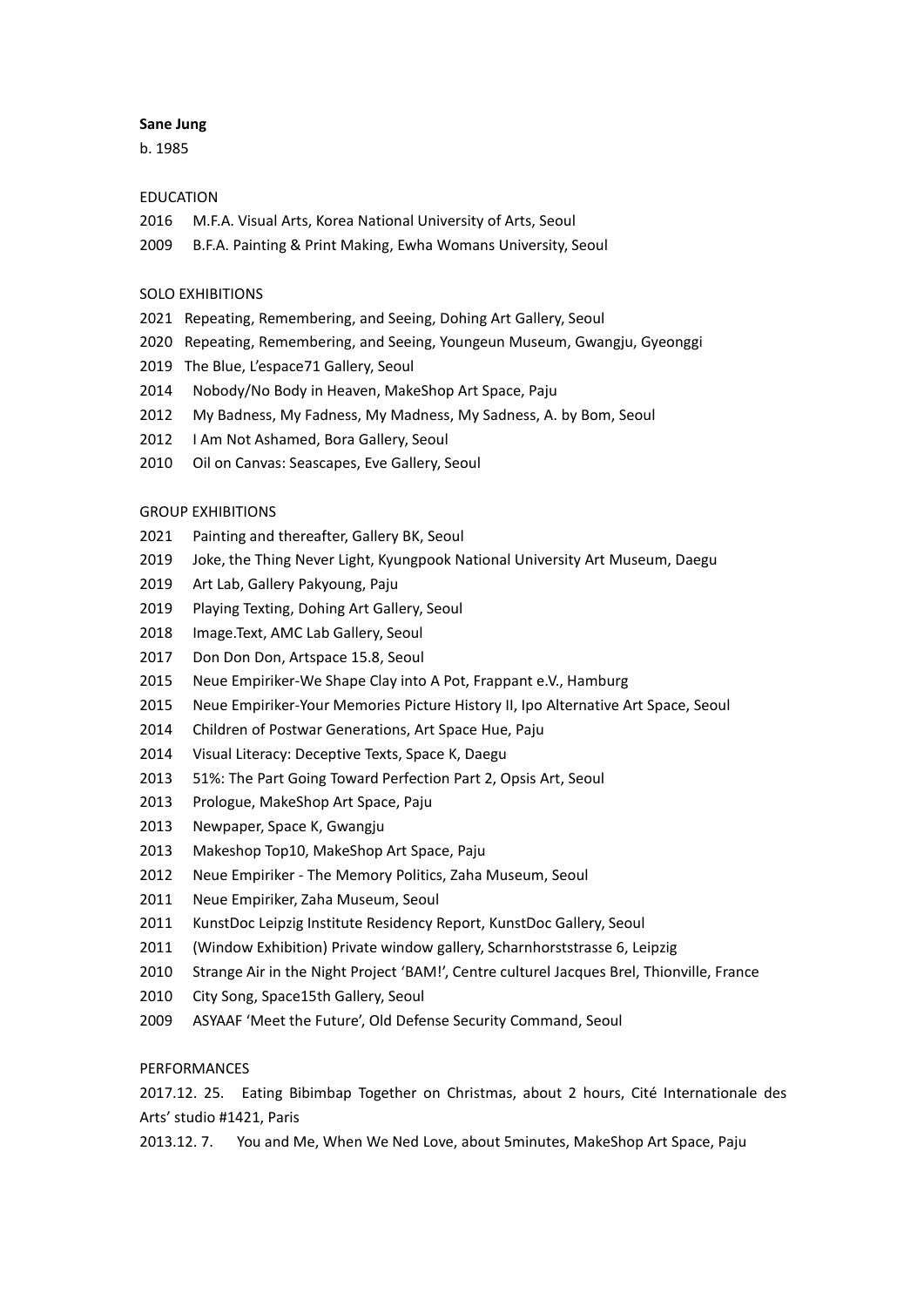#### **Sane Jung**

b. 1985

## EDUCATION

- M.F.A. Visual Arts, Korea National University of Arts, Seoul
- B.F.A. Painting & Print Making, Ewha Womans University, Seoul

### SOLO EXHIBITIONS

- Repeating, Remembering, and Seeing, Dohing Art Gallery, Seoul
- Repeating, Remembering, and Seeing, Youngeun Museum, Gwangju, Gyeonggi
- The Blue, L'espace71 Gallery, Seoul
- Nobody/No Body in Heaven, MakeShop Art Space, Paju
- My Badness, My Fadness, My Madness, My Sadness, A. by Bom, Seoul
- 2012 I Am Not Ashamed, Bora Gallery, Seoul
- Oil on Canvas: Seascapes, Eve Gallery, Seoul

### GROUP EXHIBITIONS

- Painting and thereafter, Gallery BK, Seoul
- Joke, the Thing Never Light, Kyungpook National University Art Museum, Daegu
- Art Lab, Gallery Pakyoung, Paju
- Playing Texting, Dohing Art Gallery, Seoul
- Image.Text, AMC Lab Gallery, Seoul
- Don Don Don, Artspace 15.8, Seoul
- Neue Empiriker-We Shape Clay into A Pot, Frappant e.V., Hamburg
- Neue Empiriker-Your Memories Picture History II, Ipo Alternative Art Space, Seoul
- Children of Postwar Generations, Art Space Hue, Paju
- Visual Literacy: Deceptive Texts, Space K, Daegu
- 51%: The Part Going Toward Perfection Part 2, Opsis Art, Seoul
- Prologue, MakeShop Art Space, Paju
- Newpaper, Space K, Gwangju
- Makeshop Top10, MakeShop Art Space, Paju
- Neue Empiriker The Memory Politics, Zaha Museum, Seoul
- Neue Empiriker, Zaha Museum, Seoul
- KunstDoc Leipzig Institute Residency Report, KunstDoc Gallery, Seoul
- (Window Exhibition) Private window gallery, Scharnhorststrasse 6, Leipzig
- Strange Air in the Night Project 'BAM!', Centre culturel Jacques Brel, Thionville, France
- City Song, Space15th Gallery, Seoul
- ASYAAF 'Meet the Future', Old Defense Security Command, Seoul

## **PERFORMANCES**

2017.12. 25. Eating Bibimbap Together on Christmas, about 2 hours, Cité Internationale des Arts' studio #1421, Paris

2013.12. 7. You and Me, When We Ned Love, about 5minutes, MakeShop Art Space, Paju